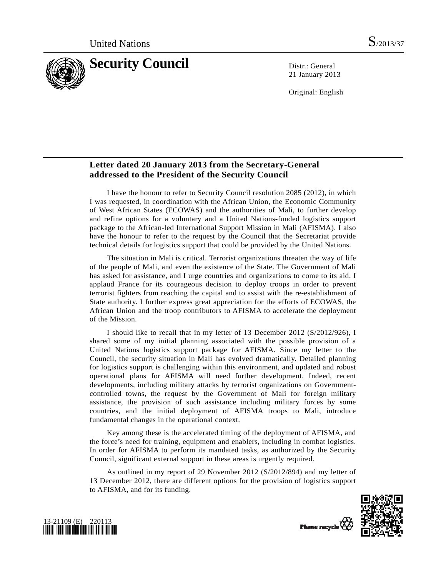

21 January 2013

Original: English

# **Letter dated 20 January 2013 from the Secretary-General addressed to the President of the Security Council**

 I have the honour to refer to Security Council resolution 2085 (2012), in which I was requested, in coordination with the African Union, the Economic Community of West African States (ECOWAS) and the authorities of Mali, to further develop and refine options for a voluntary and a United Nations-funded logistics support package to the African-led International Support Mission in Mali (AFISMA). I also have the honour to refer to the request by the Council that the Secretariat provide technical details for logistics support that could be provided by the United Nations.

 The situation in Mali is critical. Terrorist organizations threaten the way of life of the people of Mali, and even the existence of the State. The Government of Mali has asked for assistance, and I urge countries and organizations to come to its aid. I applaud France for its courageous decision to deploy troops in order to prevent terrorist fighters from reaching the capital and to assist with the re-establishment of State authority. I further express great appreciation for the efforts of ECOWAS, the African Union and the troop contributors to AFISMA to accelerate the deployment of the Mission.

 I should like to recall that in my letter of 13 December 2012 (S/2012/926), I shared some of my initial planning associated with the possible provision of a United Nations logistics support package for AFISMA. Since my letter to the Council, the security situation in Mali has evolved dramatically. Detailed planning for logistics support is challenging within this environment, and updated and robust operational plans for AFISMA will need further development. Indeed, recent developments, including military attacks by terrorist organizations on Governmentcontrolled towns, the request by the Government of Mali for foreign military assistance, the provision of such assistance including military forces by some countries, and the initial deployment of AFISMA troops to Mali, introduce fundamental changes in the operational context.

 Key among these is the accelerated timing of the deployment of AFISMA, and the force's need for training, equipment and enablers, including in combat logistics. In order for AFISMA to perform its mandated tasks, as authorized by the Security Council, significant external support in these areas is urgently required.

 As outlined in my report of 29 November 2012 (S/2012/894) and my letter of 13 December 2012, there are different options for the provision of logistics support to AFISMA, and for its funding.





Please recycle<sup>Q</sup>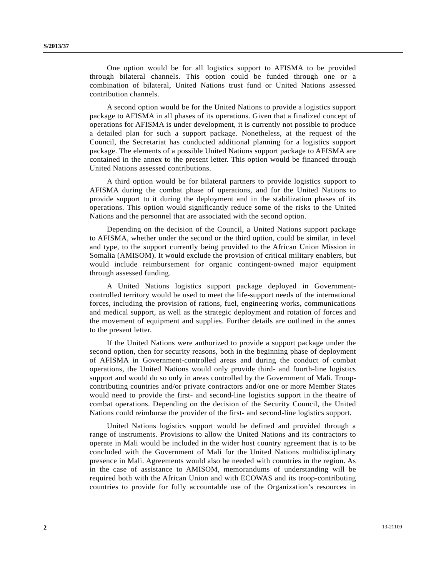One option would be for all logistics support to AFISMA to be provided through bilateral channels. This option could be funded through one or a combination of bilateral, United Nations trust fund or United Nations assessed contribution channels.

 A second option would be for the United Nations to provide a logistics support package to AFISMA in all phases of its operations. Given that a finalized concept of operations for AFISMA is under development, it is currently not possible to produce a detailed plan for such a support package. Nonetheless, at the request of the Council, the Secretariat has conducted additional planning for a logistics support package. The elements of a possible United Nations support package to AFISMA are contained in the annex to the present letter. This option would be financed through United Nations assessed contributions.

 A third option would be for bilateral partners to provide logistics support to AFISMA during the combat phase of operations, and for the United Nations to provide support to it during the deployment and in the stabilization phases of its operations. This option would significantly reduce some of the risks to the United Nations and the personnel that are associated with the second option.

 Depending on the decision of the Council, a United Nations support package to AFISMA, whether under the second or the third option, could be similar, in level and type, to the support currently being provided to the African Union Mission in Somalia (AMISOM). It would exclude the provision of critical military enablers, but would include reimbursement for organic contingent-owned major equipment through assessed funding.

 A United Nations logistics support package deployed in Governmentcontrolled territory would be used to meet the life-support needs of the international forces, including the provision of rations, fuel, engineering works, communications and medical support, as well as the strategic deployment and rotation of forces and the movement of equipment and supplies. Further details are outlined in the annex to the present letter.

 If the United Nations were authorized to provide a support package under the second option, then for security reasons, both in the beginning phase of deployment of AFISMA in Government-controlled areas and during the conduct of combat operations, the United Nations would only provide third- and fourth-line logistics support and would do so only in areas controlled by the Government of Mali. Troopcontributing countries and/or private contractors and/or one or more Member States would need to provide the first- and second-line logistics support in the theatre of combat operations. Depending on the decision of the Security Council, the United Nations could reimburse the provider of the first- and second-line logistics support.

 United Nations logistics support would be defined and provided through a range of instruments. Provisions to allow the United Nations and its contractors to operate in Mali would be included in the wider host country agreement that is to be concluded with the Government of Mali for the United Nations multidisciplinary presence in Mali. Agreements would also be needed with countries in the region. As in the case of assistance to AMISOM, memorandums of understanding will be required both with the African Union and with ECOWAS and its troop-contributing countries to provide for fully accountable use of the Organization's resources in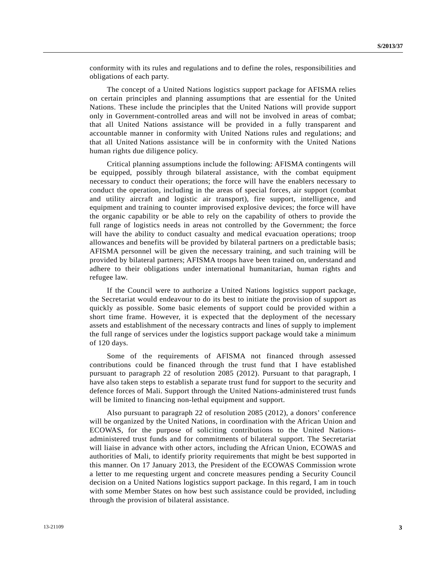conformity with its rules and regulations and to define the roles, responsibilities and obligations of each party.

 The concept of a United Nations logistics support package for AFISMA relies on certain principles and planning assumptions that are essential for the United Nations. These include the principles that the United Nations will provide support only in Government-controlled areas and will not be involved in areas of combat; that all United Nations assistance will be provided in a fully transparent and accountable manner in conformity with United Nations rules and regulations; and that all United Nations assistance will be in conformity with the United Nations human rights due diligence policy.

 Critical planning assumptions include the following: AFISMA contingents will be equipped, possibly through bilateral assistance, with the combat equipment necessary to conduct their operations; the force will have the enablers necessary to conduct the operation, including in the areas of special forces, air support (combat and utility aircraft and logistic air transport), fire support, intelligence, and equipment and training to counter improvised explosive devices; the force will have the organic capability or be able to rely on the capability of others to provide the full range of logistics needs in areas not controlled by the Government; the force will have the ability to conduct casualty and medical evacuation operations; troop allowances and benefits will be provided by bilateral partners on a predictable basis; AFISMA personnel will be given the necessary training, and such training will be provided by bilateral partners; AFISMA troops have been trained on, understand and adhere to their obligations under international humanitarian, human rights and refugee law.

 If the Council were to authorize a United Nations logistics support package, the Secretariat would endeavour to do its best to initiate the provision of support as quickly as possible. Some basic elements of support could be provided within a short time frame. However, it is expected that the deployment of the necessary assets and establishment of the necessary contracts and lines of supply to implement the full range of services under the logistics support package would take a minimum of 120 days.

 Some of the requirements of AFISMA not financed through assessed contributions could be financed through the trust fund that I have established pursuant to paragraph 22 of resolution 2085 (2012). Pursuant to that paragraph, I have also taken steps to establish a separate trust fund for support to the security and defence forces of Mali. Support through the United Nations-administered trust funds will be limited to financing non-lethal equipment and support.

 Also pursuant to paragraph 22 of resolution 2085 (2012), a donors' conference will be organized by the United Nations, in coordination with the African Union and ECOWAS, for the purpose of soliciting contributions to the United Nationsadministered trust funds and for commitments of bilateral support. The Secretariat will liaise in advance with other actors, including the African Union, ECOWAS and authorities of Mali, to identify priority requirements that might be best supported in this manner. On 17 January 2013, the President of the ECOWAS Commission wrote a letter to me requesting urgent and concrete measures pending a Security Council decision on a United Nations logistics support package. In this regard, I am in touch with some Member States on how best such assistance could be provided, including through the provision of bilateral assistance.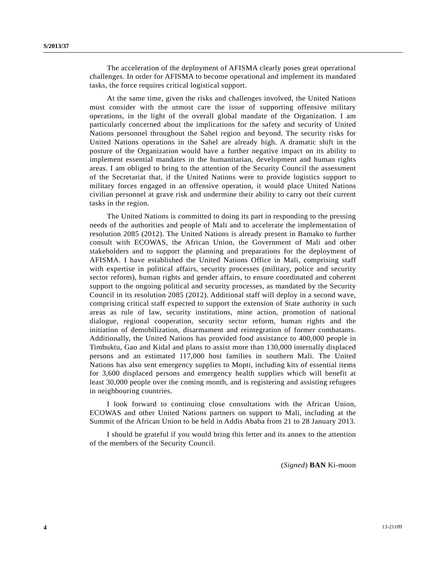The acceleration of the deployment of AFISMA clearly poses great operational challenges. In order for AFISMA to become operational and implement its mandated tasks, the force requires critical logistical support.

 At the same time, given the risks and challenges involved, the United Nations must consider with the utmost care the issue of supporting offensive military operations, in the light of the overall global mandate of the Organization. I am particularly concerned about the implications for the safety and security of United Nations personnel throughout the Sahel region and beyond. The security risks for United Nations operations in the Sahel are already high. A dramatic shift in the posture of the Organization would have a further negative impact on its ability to implement essential mandates in the humanitarian, development and human rights areas. I am obliged to bring to the attention of the Security Council the assessment of the Secretariat that, if the United Nations were to provide logistics support to military forces engaged in an offensive operation, it would place United Nations civilian personnel at grave risk and undermine their ability to carry out their current tasks in the region.

 The United Nations is committed to doing its part in responding to the pressing needs of the authorities and people of Mali and to accelerate the implementation of resolution 2085 (2012). The United Nations is already present in Bamako to further consult with ECOWAS, the African Union, the Government of Mali and other stakeholders and to support the planning and preparations for the deployment of AFISMA. I have established the United Nations Office in Mali, comprising staff with expertise in political affairs, security processes (military, police and security sector reform), human rights and gender affairs, to ensure coordinated and coherent support to the ongoing political and security processes, as mandated by the Security Council in its resolution 2085 (2012). Additional staff will deploy in a second wave, comprising critical staff expected to support the extension of State authority in such areas as rule of law, security institutions, mine action, promotion of national dialogue, regional cooperation, security sector reform, human rights and the initiation of demobilization, disarmament and reintegration of former combatants. Additionally, the United Nations has provided food assistance to 400,000 people in Timbuktu, Gao and Kidal and plans to assist more than 130,000 internally displaced persons and an estimated 117,000 host families in southern Mali. The United Nations has also sent emergency supplies to Mopti, including kits of essential items for 3,600 displaced persons and emergency health supplies which will benefit at least 30,000 people over the coming month, and is registering and assisting refugees in neighbouring countries.

 I look forward to continuing close consultations with the African Union, ECOWAS and other United Nations partners on support to Mali, including at the Summit of the African Union to be held in Addis Ababa from 21 to 28 January 2013.

 I should be grateful if you would bring this letter and its annex to the attention of the members of the Security Council.

(*Signed*) **BAN** Ki-moon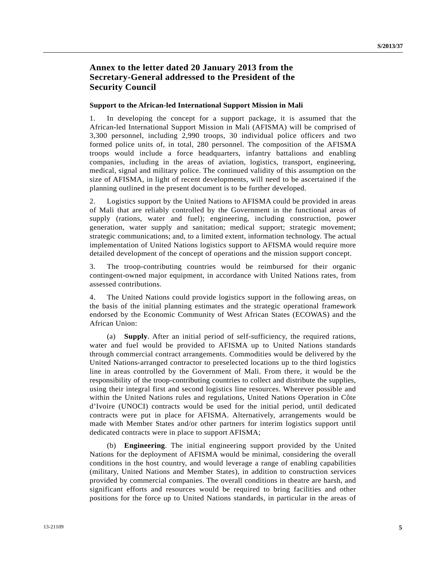# **Annex to the letter dated 20 January 2013 from the Secretary-General addressed to the President of the Security Council**

### **Support to the African-led International Support Mission in Mali**

1. In developing the concept for a support package, it is assumed that the African-led International Support Mission in Mali (AFISMA) will be comprised of 3,300 personnel, including 2,990 troops, 30 individual police officers and two formed police units of, in total, 280 personnel. The composition of the AFISMA troops would include a force headquarters, infantry battalions and enabling companies, including in the areas of aviation, logistics, transport, engineering, medical, signal and military police. The continued validity of this assumption on the size of AFISMA, in light of recent developments, will need to be ascertained if the planning outlined in the present document is to be further developed.

2. Logistics support by the United Nations to AFISMA could be provided in areas of Mali that are reliably controlled by the Government in the functional areas of supply (rations, water and fuel); engineering, including construction, power generation, water supply and sanitation; medical support; strategic movement; strategic communications; and, to a limited extent, information technology. The actual implementation of United Nations logistics support to AFISMA would require more detailed development of the concept of operations and the mission support concept.

3. The troop-contributing countries would be reimbursed for their organic contingent-owned major equipment, in accordance with United Nations rates, from assessed contributions.

4. The United Nations could provide logistics support in the following areas, on the basis of the initial planning estimates and the strategic operational framework endorsed by the Economic Community of West African States (ECOWAS) and the African Union:

 (a) **Supply**. After an initial period of self-sufficiency, the required rations, water and fuel would be provided to AFISMA up to United Nations standards through commercial contract arrangements. Commodities would be delivered by the United Nations-arranged contractor to preselected locations up to the third logistics line in areas controlled by the Government of Mali. From there, it would be the responsibility of the troop-contributing countries to collect and distribute the supplies, using their integral first and second logistics line resources. Wherever possible and within the United Nations rules and regulations, United Nations Operation in Côte d'Ivoire (UNOCI) contracts would be used for the initial period, until dedicated contracts were put in place for AFISMA. Alternatively, arrangements would be made with Member States and/or other partners for interim logistics support until dedicated contracts were in place to support AFISMA;

 (b) **Engineering**. The initial engineering support provided by the United Nations for the deployment of AFISMA would be minimal, considering the overall conditions in the host country, and would leverage a range of enabling capabilities (military, United Nations and Member States), in addition to construction services provided by commercial companies. The overall conditions in theatre are harsh, and significant efforts and resources would be required to bring facilities and other positions for the force up to United Nations standards, in particular in the areas of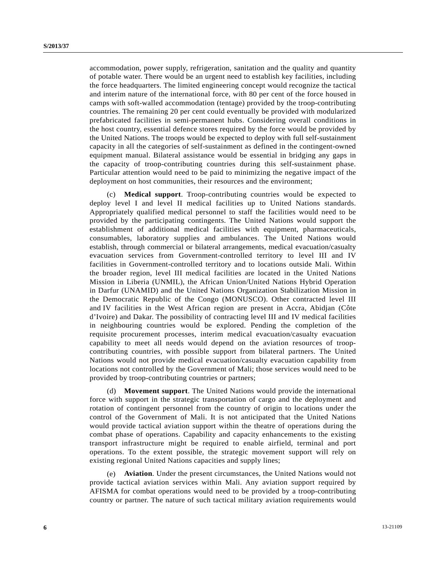accommodation, power supply, refrigeration, sanitation and the quality and quantity of potable water. There would be an urgent need to establish key facilities, including the force headquarters. The limited engineering concept would recognize the tactical and interim nature of the international force, with 80 per cent of the force housed in camps with soft-walled accommodation (tentage) provided by the troop-contributing countries. The remaining 20 per cent could eventually be provided with modularized prefabricated facilities in semi-permanent hubs. Considering overall conditions in the host country, essential defence stores required by the force would be provided by the United Nations. The troops would be expected to deploy with full self-sustainment capacity in all the categories of self-sustainment as defined in the contingent-owned equipment manual. Bilateral assistance would be essential in bridging any gaps in the capacity of troop-contributing countries during this self-sustainment phase. Particular attention would need to be paid to minimizing the negative impact of the deployment on host communities, their resources and the environment;

 (c) **Medical support**. Troop-contributing countries would be expected to deploy level I and level II medical facilities up to United Nations standards. Appropriately qualified medical personnel to staff the facilities would need to be provided by the participating contingents. The United Nations would support the establishment of additional medical facilities with equipment, pharmaceuticals, consumables, laboratory supplies and ambulances. The United Nations would establish, through commercial or bilateral arrangements, medical evacuation/casualty evacuation services from Government-controlled territory to level III and IV facilities in Government-controlled territory and to locations outside Mali. Within the broader region, level III medical facilities are located in the United Nations Mission in Liberia (UNMIL), the African Union/United Nations Hybrid Operation in Darfur (UNAMID) and the United Nations Organization Stabilization Mission in the Democratic Republic of the Congo (MONUSCO). Other contracted level III and IV facilities in the West African region are present in Accra, Abidjan (Côte d'Ivoire) and Dakar. The possibility of contracting level III and IV medical facilities in neighbouring countries would be explored. Pending the completion of the requisite procurement processes, interim medical evacuation/casualty evacuation capability to meet all needs would depend on the aviation resources of troopcontributing countries, with possible support from bilateral partners. The United Nations would not provide medical evacuation/casualty evacuation capability from locations not controlled by the Government of Mali; those services would need to be provided by troop-contributing countries or partners;

 (d) **Movement support**. The United Nations would provide the international force with support in the strategic transportation of cargo and the deployment and rotation of contingent personnel from the country of origin to locations under the control of the Government of Mali. It is not anticipated that the United Nations would provide tactical aviation support within the theatre of operations during the combat phase of operations. Capability and capacity enhancements to the existing transport infrastructure might be required to enable airfield, terminal and port operations. To the extent possible, the strategic movement support will rely on existing regional United Nations capacities and supply lines;

 (e) **Aviation**. Under the present circumstances, the United Nations would not provide tactical aviation services within Mali. Any aviation support required by AFISMA for combat operations would need to be provided by a troop-contributing country or partner. The nature of such tactical military aviation requirements would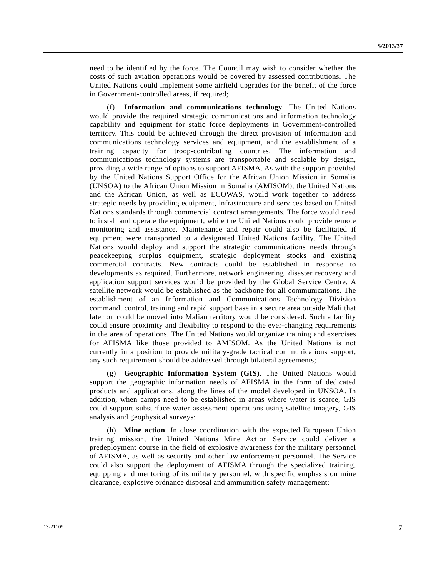need to be identified by the force. The Council may wish to consider whether the costs of such aviation operations would be covered by assessed contributions. The United Nations could implement some airfield upgrades for the benefit of the force in Government-controlled areas, if required;

 (f) **Information and communications technology**. The United Nations would provide the required strategic communications and information technology capability and equipment for static force deployments in Government-controlled territory. This could be achieved through the direct provision of information and communications technology services and equipment, and the establishment of a training capacity for troop-contributing countries. The information and communications technology systems are transportable and scalable by design, providing a wide range of options to support AFISMA. As with the support provided by the United Nations Support Office for the African Union Mission in Somalia (UNSOA) to the African Union Mission in Somalia (AMISOM), the United Nations and the African Union, as well as ECOWAS, would work together to address strategic needs by providing equipment, infrastructure and services based on United Nations standards through commercial contract arrangements. The force would need to install and operate the equipment, while the United Nations could provide remote monitoring and assistance. Maintenance and repair could also be facilitated if equipment were transported to a designated United Nations facility. The United Nations would deploy and support the strategic communications needs through peacekeeping surplus equipment, strategic deployment stocks and existing commercial contracts. New contracts could be established in response to developments as required. Furthermore, network engineering, disaster recovery and application support services would be provided by the Global Service Centre. A satellite network would be established as the backbone for all communications. The establishment of an Information and Communications Technology Division command, control, training and rapid support base in a secure area outside Mali that later on could be moved into Malian territory would be considered. Such a facility could ensure proximity and flexibility to respond to the ever-changing requirements in the area of operations. The United Nations would organize training and exercises for AFISMA like those provided to AMISOM. As the United Nations is not currently in a position to provide military-grade tactical communications support, any such requirement should be addressed through bilateral agreements;

 (g) **Geographic Information System (GIS)**. The United Nations would support the geographic information needs of AFISMA in the form of dedicated products and applications, along the lines of the model developed in UNSOA. In addition, when camps need to be established in areas where water is scarce, GIS could support subsurface water assessment operations using satellite imagery, GIS analysis and geophysical surveys;

 (h) **Mine action**. In close coordination with the expected European Union training mission, the United Nations Mine Action Service could deliver a predeployment course in the field of explosive awareness for the military personnel of AFISMA, as well as security and other law enforcement personnel. The Service could also support the deployment of AFISMA through the specialized training, equipping and mentoring of its military personnel, with specific emphasis on mine clearance, explosive ordnance disposal and ammunition safety management;